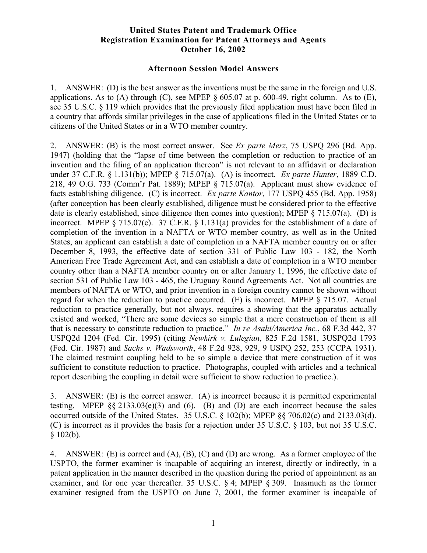## **United States Patent and Trademark Office Registration Examination for Patent Attorneys and Agents October 16, 2002**

## **Afternoon Session Model Answers**

1. ANSWER: (D) is the best answer as the inventions must be the same in the foreign and U.S. applications. As to (A) through (C), see MPEP  $\S 605.07$  at p. 600-49, right column. As to (E), see 35 U.S.C. § 119 which provides that the previously filed application must have been filed in a country that affords similar privileges in the case of applications filed in the United States or to citizens of the United States or in a WTO member country.

2. ANSWER: (B) is the most correct answer. See *Ex parte Merz*, 75 USPQ 296 (Bd. App. 1947) (holding that the "lapse of time between the completion or reduction to practice of an invention and the filing of an application thereon" is not relevant to an affidavit or declaration under 37 C.F.R. § 1.131(b)); MPEP § 715.07(a). (A) is incorrect. *Ex parte Hunter*, 1889 C.D. 218, 49 O.G. 733 (Comm'r Pat. 1889); MPEP § 715.07(a). Applicant must show evidence of facts establishing diligence. (C) is incorrect. *Ex parte Kantor*, 177 USPQ 455 (Bd. App. 1958) (after conception has been clearly established, diligence must be considered prior to the effective date is clearly established, since diligence then comes into question); MPEP  $\S$  715.07(a). (D) is incorrect. MPEP § 715.07(c). 37 C.F.R. § 1.131(a) provides for the establishment of a date of completion of the invention in a NAFTA or WTO member country, as well as in the United States, an applicant can establish a date of completion in a NAFTA member country on or after December 8, 1993, the effective date of section 331 of Public Law 103 - 182, the North American Free Trade Agreement Act, and can establish a date of completion in a WTO member country other than a NAFTA member country on or after January 1, 1996, the effective date of section 531 of Public Law 103 - 465, the Uruguay Round Agreements Act. Not all countries are members of NAFTA or WTO, and prior invention in a foreign country cannot be shown without regard for when the reduction to practice occurred. (E) is incorrect. MPEP § 715.07. Actual reduction to practice generally, but not always, requires a showing that the apparatus actually existed and worked, "There are some devices so simple that a mere construction of them is all that is necessary to constitute reduction to practice." *In re Asahi/America Inc.*, 68 F.3d 442, 37 USPQ2d 1204 (Fed. Cir. 1995) (citing *Newkirk v. Lulegian*, 825 F.2d 1581, 3USPQ2d 1793 (Fed. Cir. 1987) and *Sachs v. Wadsworth*, 48 F.2d 928, 929, 9 USPQ 252, 253 (CCPA 1931). The claimed restraint coupling held to be so simple a device that mere construction of it was sufficient to constitute reduction to practice. Photographs, coupled with articles and a technical report describing the coupling in detail were sufficient to show reduction to practice.).

3. ANSWER: (E) is the correct answer. (A) is incorrect because it is permitted experimental testing. MPEP  $\S$ § 2133.03(e)(3) and (6). (B) and (D) are each incorrect because the sales occurred outside of the United States. 35 U.S.C. § 102(b); MPEP §§ 706.02(c) and 2133.03(d). (C) is incorrect as it provides the basis for a rejection under 35 U.S.C. § 103, but not 35 U.S.C.  $$102(b).$ 

4. ANSWER: (E) is correct and (A), (B), (C) and (D) are wrong. As a former employee of the USPTO, the former examiner is incapable of acquiring an interest, directly or indirectly, in a patent application in the manner described in the question during the period of appointment as an examiner, and for one year thereafter. 35 U.S.C. § 4; MPEP § 309. Inasmuch as the former examiner resigned from the USPTO on June 7, 2001, the former examiner is incapable of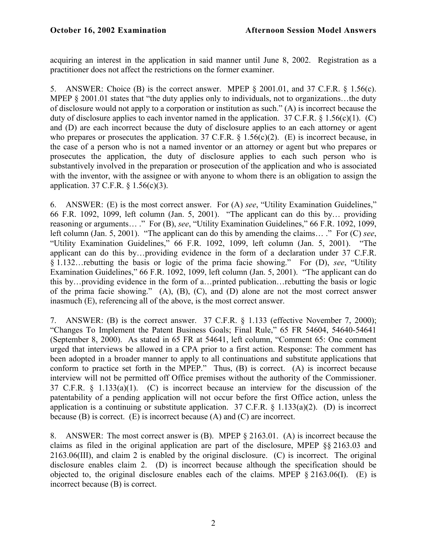acquiring an interest in the application in said manner until June 8, 2002. Registration as a practitioner does not affect the restrictions on the former examiner.

5. ANSWER: Choice (B) is the correct answer. MPEP § 2001.01, and 37 C.F.R. § 1.56(c). MPEP § 2001.01 states that "the duty applies only to individuals, not to organizations...the duty of disclosure would not apply to a corporation or institution as such." (A) is incorrect because the duty of disclosure applies to each inventor named in the application. 37 C.F.R.  $\S$  1.56(c)(1). (C) and (D) are each incorrect because the duty of disclosure applies to an each attorney or agent who prepares or prosecutes the application. 37 C.F.R.  $\S$  1.56(c)(2). (E) is incorrect because, in the case of a person who is not a named inventor or an attorney or agent but who prepares or prosecutes the application, the duty of disclosure applies to each such person who is substantively involved in the preparation or prosecution of the application and who is associated with the inventor, with the assignee or with anyone to whom there is an obligation to assign the application. 37 C.F.R. § 1.56(c)(3).

6. ANSWER: (E) is the most correct answer. For (A) *see*, "Utility Examination Guidelines," 66 F.R. 1092, 1099, left column (Jan. 5, 2001). "The applicant can do this by… providing reasoning or arguments… ." For (B), *see*, "Utility Examination Guidelines," 66 F.R. 1092, 1099, left column (Jan. 5, 2001). "The applicant can do this by amending the claims… ." For (C) *see*, "Utility Examination Guidelines," 66 F.R. 1092, 1099, left column (Jan. 5, 2001). "The applicant can do this by…providing evidence in the form of a declaration under 37 C.F.R. § 1.132…rebutting the basis or logic of the prima facie showing." For (D), *see*, "Utility Examination Guidelines," 66 F.R. 1092, 1099, left column (Jan. 5, 2001). "The applicant can do this by…providing evidence in the form of a…printed publication…rebutting the basis or logic of the prima facie showing." (A), (B), (C), and (D) alone are not the most correct answer inasmuch (E), referencing all of the above, is the most correct answer.

7. ANSWER: (B) is the correct answer. 37 C.F.R. § 1.133 (effective November 7, 2000); "Changes To Implement the Patent Business Goals; Final Rule," 65 FR 54604, 54640-54641 (September 8, 2000). As stated in 65 FR at 54641, left column, "Comment 65: One comment urged that interviews be allowed in a CPA prior to a first action. Response: The comment has been adopted in a broader manner to apply to all continuations and substitute applications that conform to practice set forth in the MPEP." Thus, (B) is correct. (A) is incorrect because interview will not be permitted off Office premises without the authority of the Commissioner. 37 C.F.R. § 1.133(a)(1). (C) is incorrect because an interview for the discussion of the patentability of a pending application will not occur before the first Office action, unless the application is a continuing or substitute application.  $37 \text{ C.F.R.}$  §  $1.133(a)(2)$ . (D) is incorrect because  $(B)$  is correct.  $(E)$  is incorrect because  $(A)$  and  $(C)$  are incorrect.

8. ANSWER: The most correct answer is (B). MPEP § 2163.01. (A) is incorrect because the claims as filed in the original application are part of the disclosure, MPEP §§ 2163.03 and 2163.06(III), and claim 2 is enabled by the original disclosure. (C) is incorrect. The original disclosure enables claim 2. (D) is incorrect because although the specification should be objected to, the original disclosure enables each of the claims. MPEP § 2163.06(I). (E) is incorrect because (B) is correct.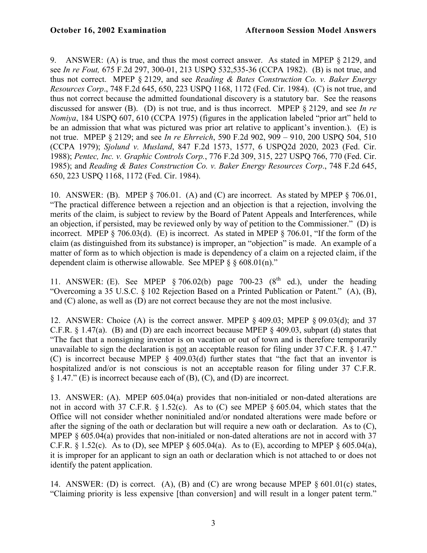9. ANSWER: (A) is true, and thus the most correct answer. As stated in MPEP § 2129, and see *In re Fout,* 675 F.2d 297, 300-01, 213 USPQ 532,535-36 (CCPA 1982). (B) is not true, and thus not correct. MPEP § 2129, and see *Reading & Bates Construction Co. v. Baker Energy Resources Corp*., 748 F.2d 645, 650, 223 USPQ 1168, 1172 (Fed. Cir. 1984). (C) is not true, and thus not correct because the admitted foundational discovery is a statutory bar. See the reasons discussed for answer (B). (D) is not true, and is thus incorrect. MPEP § 2129, and see *In re Nomiya*, 184 USPQ 607, 610 (CCPA 1975) (figures in the application labeled "prior art" held to be an admission that what was pictured was prior art relative to applicant's invention.). (E) is not true. MPEP § 2129; and see *In re Ehrreich*, 590 F.2d 902, 909 – 910, 200 USPQ 504, 510 (CCPA 1979); *Sjolund v. Musland*, 847 F.2d 1573, 1577, 6 USPQ2d 2020, 2023 (Fed. Cir. 1988); *Pentec, Inc. v. Graphic Controls Corp.*, 776 F.2d 309, 315, 227 USPQ 766, 770 (Fed. Cir. 1985); and *Reading & Bates Construction Co. v. Baker Energy Resources Corp*., 748 F.2d 645, 650, 223 USPQ 1168, 1172 (Fed. Cir. 1984).

10. ANSWER: (B). MPEP § 706.01. (A) and (C) are incorrect. As stated by MPEP § 706.01, "The practical difference between a rejection and an objection is that a rejection, involving the merits of the claim, is subject to review by the Board of Patent Appeals and Interferences, while an objection, if persisted, may be reviewed only by way of petition to the Commissioner." (D) is incorrect. MPEP § 706.03(d). (E) is incorrect. As stated in MPEP § 706.01, "If the form of the claim (as distinguished from its substance) is improper, an "objection" is made. An example of a matter of form as to which objection is made is dependency of a claim on a rejected claim, if the dependent claim is otherwise allowable. See MPEP  $\delta \delta 608.01(n)$ ."

11. ANSWER: (E). See MPEP  $\S$  706.02(b) page 700-23 ( $8<sup>th</sup>$  ed.), under the heading "Overcoming a 35 U.S.C. § 102 Rejection Based on a Printed Publication or Patent." (A), (B), and (C) alone, as well as (D) are not correct because they are not the most inclusive.

12. ANSWER: Choice (A) is the correct answer. MPEP § 409.03; MPEP § 09.03(d); and 37 C.F.R. § 1.47(a). (B) and (D) are each incorrect because MPEP § 409.03, subpart (d) states that "The fact that a nonsigning inventor is on vacation or out of town and is therefore temporarily unavailable to sign the declaration is not an acceptable reason for filing under 37 C.F.R. § 1.47." (C) is incorrect because MPEP § 409.03(d) further states that "the fact that an inventor is hospitalized and/or is not conscious is not an acceptable reason for filing under 37 C.F.R. § 1.47." (E) is incorrect because each of (B), (C), and (D) are incorrect.

13. ANSWER: (A). MPEP 605.04(a) provides that non-initialed or non-dated alterations are not in accord with 37 C.F.R. § 1.52(c). As to (C) see MPEP § 605.04, which states that the Office will not consider whether noninitialed and/or nondated alterations were made before or after the signing of the oath or declaration but will require a new oath or declaration. As to (C), MPEP § 605.04(a) provides that non-initialed or non-dated alterations are not in accord with 37 C.F.R.  $\S 1.52(c)$ . As to (D), see MPEP  $\S 605.04(a)$ . As to (E), according to MPEP  $\S 605.04(a)$ , it is improper for an applicant to sign an oath or declaration which is not attached to or does not identify the patent application.

14. ANSWER: (D) is correct. (A), (B) and (C) are wrong because MPEP § 601.01(c) states, "Claiming priority is less expensive [than conversion] and will result in a longer patent term."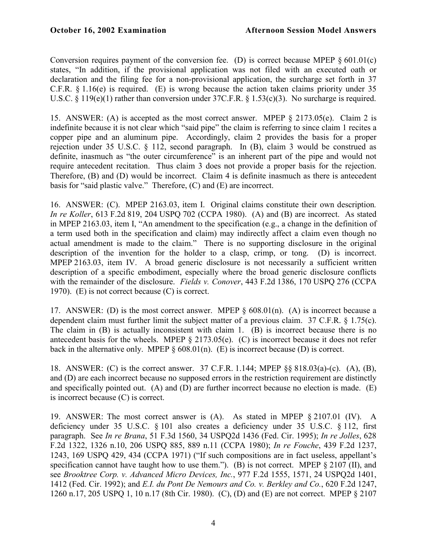Conversion requires payment of the conversion fee. (D) is correct because MPEP  $\S 601.01(c)$ states, "In addition, if the provisional application was not filed with an executed oath or declaration and the filing fee for a non-provisional application, the surcharge set forth in 37 C.F.R. § 1.16(e) is required. (E) is wrong because the action taken claims priority under 35 U.S.C. § 119(e)(1) rather than conversion under 37C.F.R. § 1.53(c)(3). No surcharge is required.

15. ANSWER: (A) is accepted as the most correct answer. MPEP § 2173.05(e). Claim 2 is indefinite because it is not clear which "said pipe" the claim is referring to since claim 1 recites a copper pipe and an aluminum pipe. Accordingly, claim 2 provides the basis for a proper rejection under 35 U.S.C. § 112, second paragraph. In (B), claim 3 would be construed as definite, inasmuch as "the outer circumference" is an inherent part of the pipe and would not require antecedent recitation. Thus claim 3 does not provide a proper basis for the rejection. Therefore, (B) and (D) would be incorrect. Claim 4 is definite inasmuch as there is antecedent basis for "said plastic valve." Therefore, (C) and (E) are incorrect.

16. ANSWER: (C). MPEP 2163.03, item I. Original claims constitute their own description*. In re Koller*, 613 F.2d 819, 204 USPQ 702 (CCPA 1980). (A) and (B) are incorrect. As stated in MPEP 2163.03, item I, "An amendment to the specification (e.g., a change in the definition of a term used both in the specification and claim) may indirectly affect a claim even though no actual amendment is made to the claim." There is no supporting disclosure in the original description of the invention for the holder to a clasp, crimp, or tong. (D) is incorrect. MPEP 2163.03, item IV. A broad generic disclosure is not necessarily a sufficient written description of a specific embodiment, especially where the broad generic disclosure conflicts with the remainder of the disclosure. *Fields v. Conover*, 443 F.2d 1386, 170 USPQ 276 (CCPA 1970). (E) is not correct because (C) is correct.

17. ANSWER: (D) is the most correct answer. MPEP  $\S$  608.01(n). (A) is incorrect because a dependent claim must further limit the subject matter of a previous claim. 37 C.F.R. § 1.75(c). The claim in (B) is actually inconsistent with claim 1. (B) is incorrect because there is no antecedent basis for the wheels. MPEP § 2173.05(e). (C) is incorrect because it does not refer back in the alternative only. MPEP  $\S 608.01(n)$ . (E) is incorrect because (D) is correct.

18. ANSWER: (C) is the correct answer. 37 C.F.R. 1.144; MPEP §§ 818.03(a)-(c). (A), (B), and (D) are each incorrect because no supposed errors in the restriction requirement are distinctly and specifically pointed out. (A) and (D) are further incorrect because no election is made. (E) is incorrect because (C) is correct.

19. ANSWER: The most correct answer is (A). As stated in MPEP § 2107.01 (IV). A deficiency under 35 U.S.C. § 101 also creates a deficiency under 35 U.S.C. § 112, first paragraph. See *In re Brana*, 51 F.3d 1560, 34 USPQ2d 1436 (Fed. Cir. 1995); *In re Jolles*, 628 F.2d 1322, 1326 n.10, 206 USPQ 885, 889 n.11 (CCPA 1980); *In re Fouche*, 439 F.2d 1237, 1243, 169 USPQ 429, 434 (CCPA 1971) ("If such compositions are in fact useless, appellant's specification cannot have taught how to use them."). (B) is not correct. MPEP § 2107 (II), and see *Brooktree Corp. v. Advanced Micro Devices, Inc.*, 977 F.2d 1555, 1571, 24 USPQ2d 1401, 1412 (Fed. Cir. 1992); and *E.I. du Pont De Nemours and Co. v. Berkley and Co.*, 620 F.2d 1247, 1260 n.17, 205 USPQ 1, 10 n.17 (8th Cir. 1980). (C), (D) and (E) are not correct. MPEP § 2107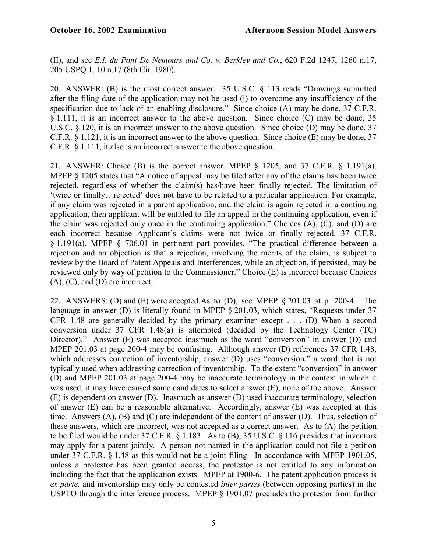(II), and see *E.I. du Pont De Nemours and Co. v. Berkley and Co.*, 620 F.2d 1247, 1260 n.17, 205 USPQ 1, 10 n.17 (8th Cir. 1980).

20. ANSWER: (B) is the most correct answer. 35 U.S.C. § 113 reads "Drawings submitted after the filing date of the application may not be used (i) to overcome any insufficiency of the specification due to lack of an enabling disclosure." Since choice (A) may be done, 37 C.F.R. § 1.111, it is an incorrect answer to the above question. Since choice (C) may be done, 35 U.S.C. § 120, it is an incorrect answer to the above question. Since choice (D) may be done, 37 C.F.R. § 1.121, it is an incorrect answer to the above question. Since choice (E) may be done, 37 C.F.R. § 1.111, it also is an incorrect answer to the above question.

21. ANSWER: Choice (B) is the correct answer. MPEP § 1205, and 37 C.F.R. § 1.191(a). MPEP § 1205 states that "A notice of appeal may be filed after any of the claims has been twice rejected, regardless of whether the claim(s) has/have been finally rejected. The limitation of 'twice or finally…rejected' does not have to be related to a particular application. For example, if any claim was rejected in a parent application, and the claim is again rejected in a continuing application, then applicant will be entitled to file an appeal in the continuing application, even if the claim was rejected only once in the continuing application." Choices (A), (C), and (D) are each incorrect because Applicant's claims were not twice or finally rejected. 37 C.F.R. § 1.191(a). MPEP § 706.01 in pertinent part provides, "The practical difference between a rejection and an objection is that a rejection, involving the merits of the claim, is subject to review by the Board of Patent Appeals and Interferences, while an objection, if persisted, may be reviewed only by way of petition to the Commissioner." Choice (E) is incorrect because Choices (A), (C), and (D) are incorrect.

22. ANSWERS: (D) and (E) were accepted.As to (D), see MPEP § 201.03 at p. 200-4. The language in answer (D) is literally found in MPEP § 201.03, which states, "Requests under 37 CFR 1.48 are generally decided by the primary examiner except . . . (D) When a second conversion under 37 CFR 1.48(a) is attempted (decided by the Technology Center (TC) Director)." Answer (E) was accepted inasmuch as the word "conversion" in answer (D) and MPEP 201.03 at page 200-4 may be confusing. Although answer (D) references 37 CFR 1.48, which addresses correction of inventorship, answer (D) uses "conversion," a word that is not typically used when addressing correction of inventorship. To the extent "conversion" in answer (D) and MPEP 201.03 at page 200-4 may be inaccurate terminology in the context in which it was used, it may have caused some candidates to select answer (E), none of the above. Answer (E) is dependent on answer (D). Inasmuch as answer (D) used inaccurate terminology, selection of answer (E) can be a reasonable alternative. Accordingly, answer (E) was accepted at this time. Answers (A), (B) and (C) are independent of the content of answer (D). Thus, selection of these answers, which are incorrect, was not accepted as a correct answer. As to (A) the petition to be filed would be under 37 C.F.R. § 1.183. As to (B), 35 U.S.C. § 116 provides that inventors may apply for a patent jointly. A person not named in the application could not file a petition under 37 C.F.R. § 1.48 as this would not be a joint filing. In accordance with MPEP 1901.05, unless a protestor has been granted access, the protestor is not entitled to any information including the fact that the application exists. MPEP at 1900-6. The patent application process is *ex parte,* and inventorship may only be contested *inter partes* (between opposing parties) in the USPTO through the interference process. MPEP § 1901.07 precludes the protestor from further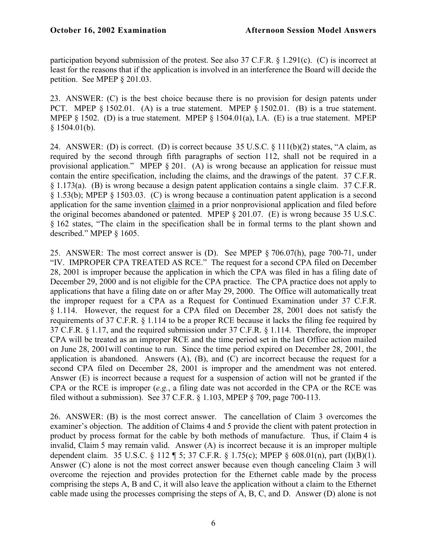participation beyond submission of the protest. See also 37 C.F.R. § 1.291(c). (C) is incorrect at least for the reasons that if the application is involved in an interference the Board will decide the petition. See MPEP § 201.03.

23. ANSWER: (C) is the best choice because there is no provision for design patents under PCT. MPEP § 1502.01. (A) is a true statement. MPEP § 1502.01. (B) is a true statement. MPEP § 1502. (D) is a true statement. MPEP § 1504.01(a), I.A. (E) is a true statement. MPEP § 1504.01(b).

24. ANSWER: (D) is correct. (D) is correct because 35 U.S.C. § 111(b)(2) states, "A claim, as required by the second through fifth paragraphs of section 112, shall not be required in a provisional application." MPEP § 201. (A) is wrong because an application for reissue must contain the entire specification, including the claims, and the drawings of the patent. 37 C.F.R. § 1.173(a). (B) is wrong because a design patent application contains a single claim. 37 C.F.R. § 1.53(b); MPEP § 1503.03. (C) is wrong because a continuation patent application is a second application for the same invention claimed in a prior nonprovisional application and filed before the original becomes abandoned or patented. MPEP § 201.07. (E) is wrong because 35 U.S.C. § 162 states, "The claim in the specification shall be in formal terms to the plant shown and described." MPEP § 1605.

25. ANSWER: The most correct answer is (D). See MPEP § 706.07(h), page 700-71, under "IV. IMPROPER CPA TREATED AS RCE." The request for a second CPA filed on December 28, 2001 is improper because the application in which the CPA was filed in has a filing date of December 29, 2000 and is not eligible for the CPA practice. The CPA practice does not apply to applications that have a filing date on or after May 29, 2000. The Office will automatically treat the improper request for a CPA as a Request for Continued Examination under 37 C.F.R. § 1.114. However, the request for a CPA filed on December 28, 2001 does not satisfy the requirements of 37 C.F.R. § 1.114 to be a proper RCE because it lacks the filing fee required by 37 C.F.R. § 1.17, and the required submission under 37 C.F.R. § 1.114. Therefore, the improper CPA will be treated as an improper RCE and the time period set in the last Office action mailed on June 28, 2001will continue to run. Since the time period expired on December 28, 2001, the application is abandoned. Answers (A), (B), and (C) are incorrect because the request for a second CPA filed on December 28, 2001 is improper and the amendment was not entered. Answer (E) is incorrect because a request for a suspension of action will not be granted if the CPA or the RCE is improper (*e.g.*, a filing date was not accorded in the CPA or the RCE was filed without a submission). See 37 C.F.R. § 1.103, MPEP § 709, page 700-113.

26. ANSWER: (B) is the most correct answer. The cancellation of Claim 3 overcomes the examiner's objection. The addition of Claims 4 and 5 provide the client with patent protection in product by process format for the cable by both methods of manufacture. Thus, if Claim 4 is invalid, Claim 5 may remain valid. Answer (A) is incorrect because it is an improper multiple dependent claim. 35 U.S.C. § 112 ¶ 5; 37 C.F.R. § 1.75(c); MPEP § 608.01(n), part (I)(B)(1). Answer (C) alone is not the most correct answer because even though canceling Claim 3 will overcome the rejection and provides protection for the Ethernet cable made by the process comprising the steps A, B and C, it will also leave the application without a claim to the Ethernet cable made using the processes comprising the steps of A, B, C, and D. Answer (D) alone is not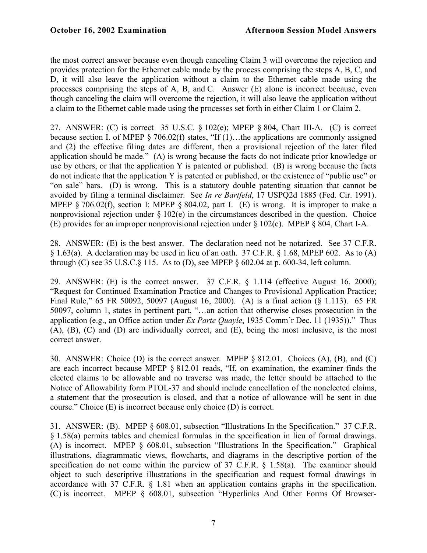the most correct answer because even though canceling Claim 3 will overcome the rejection and provides protection for the Ethernet cable made by the process comprising the steps A, B, C, and D, it will also leave the application without a claim to the Ethernet cable made using the processes comprising the steps of A, B, and C. Answer (E) alone is incorrect because, even though canceling the claim will overcome the rejection, it will also leave the application without a claim to the Ethernet cable made using the processes set forth in either Claim 1 or Claim 2.

27. ANSWER: (C) is correct 35 U.S.C. § 102(e); MPEP § 804, Chart III-A. (C) is correct because section I. of MPEP § 706.02(f) states, "If (1)...the applications are commonly assigned and (2) the effective filing dates are different, then a provisional rejection of the later filed application should be made." (A) is wrong because the facts do not indicate prior knowledge or use by others, or that the application Y is patented or published. (B) is wrong because the facts do not indicate that the application Y is patented or published, or the existence of "public use" or "on sale" bars. (D) is wrong. This is a statutory double patenting situation that cannot be avoided by filing a terminal disclaimer. See *In re Bartfeld*, 17 USPQ2d 1885 (Fed. Cir. 1991). MPEP § 706.02(f), section I; MPEP § 804.02, part I. (E) is wrong. It is improper to make a nonprovisional rejection under  $\S 102(e)$  in the circumstances described in the question. Choice (E) provides for an improper nonprovisional rejection under § 102(e). MPEP § 804, Chart I-A.

28. ANSWER: (E) is the best answer. The declaration need not be notarized. See 37 C.F.R.  $\S 1.63(a)$ . A declaration may be used in lieu of an oath. 37 C.F.R.  $\S 1.68$ , MPEP 602. As to (A) through (C) see 35 U.S.C. $\S$  115. As to (D), see MPEP  $\S$  602.04 at p. 600-34, left column.

29. ANSWER: (E) is the correct answer. 37 C.F.R. § 1.114 (effective August 16, 2000); "Request for Continued Examination Practice and Changes to Provisional Application Practice; Final Rule," 65 FR 50092, 50097 (August 16, 2000). (A) is a final action (§ 1.113). 65 FR 50097, column 1, states in pertinent part, "…an action that otherwise closes prosecution in the application (e.g., an Office action under *Ex Parte Quayle*, 1935 Comm'r Dec. 11 (1935))." Thus (A), (B), (C) and (D) are individually correct, and (E), being the most inclusive, is the most correct answer.

30. ANSWER: Choice (D) is the correct answer. MPEP § 812.01. Choices (A), (B), and (C) are each incorrect because MPEP § 812.01 reads, "If, on examination, the examiner finds the elected claims to be allowable and no traverse was made, the letter should be attached to the Notice of Allowability form PTOL-37 and should include cancellation of the nonelected claims, a statement that the prosecution is closed, and that a notice of allowance will be sent in due course." Choice (E) is incorrect because only choice (D) is correct.

31. ANSWER: (B). MPEP § 608.01, subsection "Illustrations In the Specification." 37 C.F.R. § 1.58(a) permits tables and chemical formulas in the specification in lieu of formal drawings. (A) is incorrect. MPEP § 608.01, subsection "Illustrations In the Specification." Graphical illustrations, diagrammatic views, flowcharts, and diagrams in the descriptive portion of the specification do not come within the purview of 37 C.F.R. § 1.58(a). The examiner should object to such descriptive illustrations in the specification and request formal drawings in accordance with 37 C.F.R. § 1.81 when an application contains graphs in the specification. (C) is incorrect. MPEP § 608.01, subsection "Hyperlinks And Other Forms Of Browser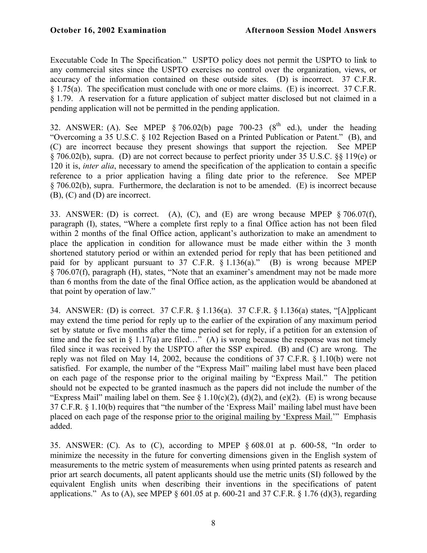Executable Code In The Specification." USPTO policy does not permit the USPTO to link to any commercial sites since the USPTO exercises no control over the organization, views, or accuracy of the information contained on these outside sites. (D) is incorrect. 37 C.F.R. § 1.75(a). The specification must conclude with one or more claims. (E) is incorrect. 37 C.F.R. § 1.79. A reservation for a future application of subject matter disclosed but not claimed in a pending application will not be permitted in the pending application.

32. ANSWER: (A). See MPEP § 706.02(b) page 700-23 ( $8<sup>th</sup>$  ed.), under the heading "Overcoming a 35 U.S.C. § 102 Rejection Based on a Printed Publication or Patent." (B), and (C) are incorrect because they present showings that support the rejection. See MPEP § 706.02(b), supra. (D) are not correct because to perfect priority under 35 U.S.C. §§ 119(e) or 120 it is, *inter alia*, necessary to amend the specification of the application to contain a specific reference to a prior application having a filing date prior to the reference. See MPEP § 706.02(b), supra. Furthermore, the declaration is not to be amended. (E) is incorrect because (B), (C) and (D) are incorrect.

33. ANSWER: (D) is correct. (A), (C), and (E) are wrong because MPEP § 706.07(f), paragraph (I), states, "Where a complete first reply to a final Office action has not been filed within 2 months of the final Office action, applicant's authorization to make an amendment to place the application in condition for allowance must be made either within the 3 month shortened statutory period or within an extended period for reply that has been petitioned and paid for by applicant pursuant to 37 C.F.R. § 1.136(a)." (B) is wrong because MPEP § 706.07(f), paragraph (H), states, "Note that an examiner's amendment may not be made more than 6 months from the date of the final Office action, as the application would be abandoned at that point by operation of law."

34. ANSWER: (D) is correct. 37 C.F.R. § 1.136(a). 37 C.F.R. § 1.136(a) states, "[A]pplicant may extend the time period for reply up to the earlier of the expiration of any maximum period set by statute or five months after the time period set for reply, if a petition for an extension of time and the fee set in § 1.17(a) are filed…" (A) is wrong because the response was not timely filed since it was received by the USPTO after the SSP expired. (B) and (C) are wrong. The reply was not filed on May 14, 2002, because the conditions of 37 C.F.R. § 1.10(b) were not satisfied. For example, the number of the "Express Mail" mailing label must have been placed on each page of the response prior to the original mailing by "Express Mail." The petition should not be expected to be granted inasmuch as the papers did not include the number of the "Express Mail" mailing label on them. See  $\S 1.10(c)(2)$ , (d)(2), and (e)(2). (E) is wrong because 37 C.F.R. § 1.10(b) requires that "the number of the 'Express Mail' mailing label must have been placed on each page of the response prior to the original mailing by 'Express Mail.'" Emphasis added.

35. ANSWER: (C). As to (C), according to MPEP § 608.01 at p. 600-58, "In order to minimize the necessity in the future for converting dimensions given in the English system of measurements to the metric system of measurements when using printed patents as research and prior art search documents, all patent applicants should use the metric units (SI) followed by the equivalent English units when describing their inventions in the specifications of patent applications." As to (A), see MPEP  $\S$  601.05 at p. 600-21 and 37 C.F.R.  $\S$  1.76 (d)(3), regarding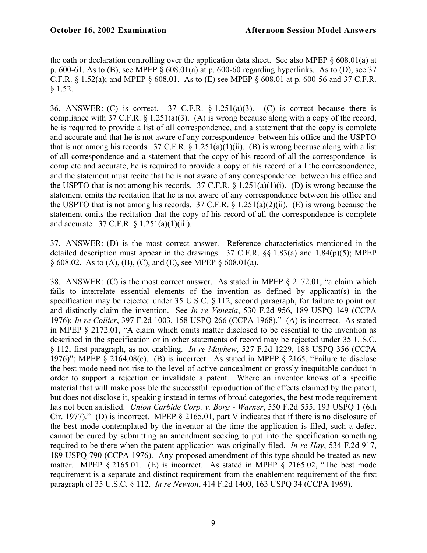the oath or declaration controlling over the application data sheet. See also MPEP  $\S$  608.01(a) at p. 600-61. As to (B), see MPEP § 608.01(a) at p. 600-60 regarding hyperlinks. As to (D), see 37 C.F.R. § 1.52(a); and MPEP § 608.01. As to (E) see MPEP § 608.01 at p. 600-56 and 37 C.F.R. § 1.52.

36. ANSWER: (C) is correct. 37 C.F.R.  $\S 1.251(a)(3)$ . (C) is correct because there is compliance with 37 C.F.R. § 1.251(a)(3). (A) is wrong because along with a copy of the record, he is required to provide a list of all correspondence, and a statement that the copy is complete and accurate and that he is not aware of any correspondence between his office and the USPTO that is not among his records. 37 C.F.R.  $\S$  1.251(a)(1)(ii). (B) is wrong because along with a list of all correspondence and a statement that the copy of his record of all the correspondence is complete and accurate, he is required to provide a copy of his record of all the correspondence, and the statement must recite that he is not aware of any correspondence between his office and the USPTO that is not among his records. 37 C.F.R.  $\S 1.251(a)(1)(i)$ . (D) is wrong because the statement omits the recitation that he is not aware of any correspondence between his office and the USPTO that is not among his records. 37 C.F.R.  $\S$  1.251(a)(2)(ii). (E) is wrong because the statement omits the recitation that the copy of his record of all the correspondence is complete and accurate. 37 C.F.R. § 1.251(a)(1)(iii).

37. ANSWER: (D) is the most correct answer. Reference characteristics mentioned in the detailed description must appear in the drawings. 37 C.F.R. §§ 1.83(a) and 1.84(p)(5); MPEP  $\S$  608.02. As to (A), (B), (C), and (E), see MPEP  $\S$  608.01(a).

38. ANSWER: (C) is the most correct answer. As stated in MPEP § 2172.01, "a claim which fails to interrelate essential elements of the invention as defined by applicant(s) in the specification may be rejected under 35 U.S.C. § 112, second paragraph, for failure to point out and distinctly claim the invention. See *In re Venezia*, 530 F.2d 956, 189 USPQ 149 (CCPA 1976); *In re Collier*, 397 F.2d 1003, 158 USPQ 266 (CCPA 1968)." (A) is incorrect. As stated in MPEP § 2172.01, "A claim which omits matter disclosed to be essential to the invention as described in the specification or in other statements of record may be rejected under 35 U.S.C. § 112, first paragraph, as not enabling. *In re Mayhew*, 527 F.2d 1229, 188 USPQ 356 (CCPA 1976)"; MPEP § 2164.08(c). (B) is incorrect. As stated in MPEP § 2165, "Failure to disclose the best mode need not rise to the level of active concealment or grossly inequitable conduct in order to support a rejection or invalidate a patent. Where an inventor knows of a specific material that will make possible the successful reproduction of the effects claimed by the patent, but does not disclose it, speaking instead in terms of broad categories, the best mode requirement has not been satisfied. *Union Carbide Corp. v. Borg - Warner*, 550 F.2d 555, 193 USPQ 1 (6th Cir. 1977)." (D) is incorrect. MPEP § 2165.01, part V indicates that if there is no disclosure of the best mode contemplated by the inventor at the time the application is filed, such a defect cannot be cured by submitting an amendment seeking to put into the specification something required to be there when the patent application was originally filed. *In re Hay*, 534 F.2d 917, 189 USPQ 790 (CCPA 1976). Any proposed amendment of this type should be treated as new matter. MPEP § 2165.01. (E) is incorrect. As stated in MPEP § 2165.02, "The best mode requirement is a separate and distinct requirement from the enablement requirement of the first paragraph of 35 U.S.C. § 112. *In re Newton*, 414 F.2d 1400, 163 USPQ 34 (CCPA 1969).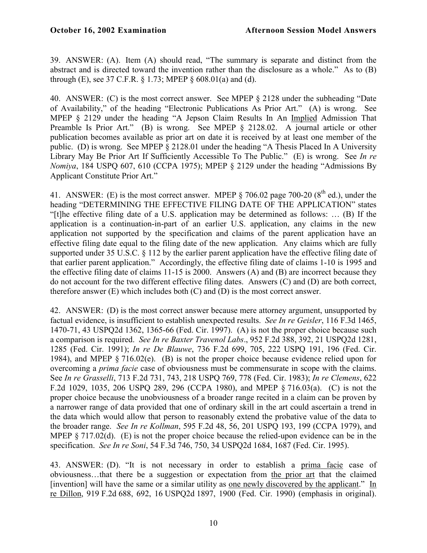39. ANSWER: (A). Item (A) should read, "The summary is separate and distinct from the abstract and is directed toward the invention rather than the disclosure as a whole." As to (B) through (E), see 37 C.F.R.  $\S 1.73$ ; MPEP  $\S 608.01(a)$  and (d).

40. ANSWER: (C) is the most correct answer. See MPEP § 2128 under the subheading "Date of Availability," of the heading "Electronic Publications As Prior Art." (A) is wrong. See MPEP § 2129 under the heading "A Jepson Claim Results In An Implied Admission That Preamble Is Prior Art." (B) is wrong. See MPEP § 2128.02. A journal article or other publication becomes available as prior art on date it is received by at least one member of the public. (D) is wrong. See MPEP § 2128.01 under the heading "A Thesis Placed In A University Library May Be Prior Art If Sufficiently Accessible To The Public." (E) is wrong. See *In re Nomiya*, 184 USPQ 607, 610 (CCPA 1975); MPEP § 2129 under the heading "Admissions By Applicant Constitute Prior Art."

41. ANSWER: (E) is the most correct answer. MPEP  $\S$  706.02 page 700-20 ( $8<sup>th</sup>$  ed.), under the heading "DETERMINING THE EFFECTIVE FILING DATE OF THE APPLICATION" states "[t]he effective filing date of a U.S. application may be determined as follows: … (B) If the application is a continuation-in-part of an earlier U.S. application, any claims in the new application not supported by the specification and claims of the parent application have an effective filing date equal to the filing date of the new application. Any claims which are fully supported under 35 U.S.C. § 112 by the earlier parent application have the effective filing date of that earlier parent application." Accordingly, the effective filing date of claims 1-10 is 1995 and the effective filing date of claims 11-15 is 2000. Answers (A) and (B) are incorrect because they do not account for the two different effective filing dates. Answers (C) and (D) are both correct, therefore answer  $(E)$  which includes both  $(C)$  and  $(D)$  is the most correct answer.

42. ANSWER: (D) is the most correct answer because mere attorney argument, unsupported by factual evidence, is insufficient to establish unexpected results. *See In re Geisler*, 116 F.3d 1465, 1470-71, 43 USPQ2d 1362, 1365-66 (Fed. Cir. 1997). (A) is not the proper choice because such a comparison is required. *See In re Baxter Travenol Labs*., 952 F.2d 388, 392, 21 USPQ2d 1281, 1285 (Fed. Cir. 1991); *In re De Blauwe*, 736 F.2d 699, 705, 222 USPQ 191, 196 (Fed. Cir. 1984), and MPEP § 716.02(e). (B) is not the proper choice because evidence relied upon for overcoming a *prima facie* case of obviousness must be commensurate in scope with the claims. See *In re Grasselli*, 713 F.2d 731, 743, 218 USPQ 769, 778 (Fed. Cir. 1983); *In re Clemens*, 622 F.2d 1029, 1035, 206 USPQ 289, 296 (CCPA 1980), and MPEP § 716.03(a). (C) is not the proper choice because the unobviousness of a broader range recited in a claim can be proven by a narrower range of data provided that one of ordinary skill in the art could ascertain a trend in the data which would allow that person to reasonably extend the probative value of the data to the broader range. *See In re Kollman*, 595 F.2d 48, 56, 201 USPQ 193, 199 (CCPA 1979), and MPEP § 717.02(d). (E) is not the proper choice because the relied-upon evidence can be in the specification. *See In re Soni*, 54 F.3d 746, 750, 34 USPQ2d 1684, 1687 (Fed. Cir. 1995).

43. ANSWER: (D). "It is not necessary in order to establish a prima facie case of obviousness…that there be a suggestion or expectation from the prior art that the claimed [invention] will have the same or a similar utility as one newly discovered by the applicant." In re Dillon, 919 F.2d 688, 692, 16 USPQ2d 1897, 1900 (Fed. Cir. 1990) (emphasis in original).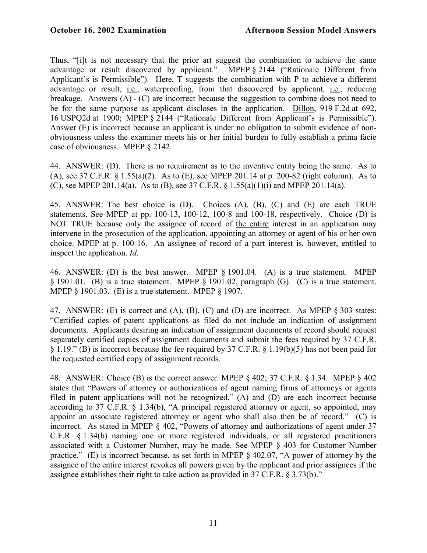Thus, "[i]t is not necessary that the prior art suggest the combination to achieve the same advantage or result discovered by applicant." MPEP § 2144 ("Rationale Different from Applicant's is Permissible"). Here, T suggests the combination with P to achieve a different advantage or result, i.e., waterproofing, from that discovered by applicant, i.e., reducing breakage. Answers (A) - (C) are incorrect because the suggestion to combine does not need to be for the same purpose as applicant discloses in the application. Dillon, 919 F.2d at 692, 16 USPQ2d at 1900; MPEP § 2144 ("Rationale Different from Applicant's is Permissible"). Answer (E) is incorrect because an applicant is under no obligation to submit evidence of nonobviousness unless the examiner meets his or her initial burden to fully establish a prima facie case of obviousness. MPEP § 2142.

44. ANSWER: (D). There is no requirement as to the inventive entity being the same. As to (A), see 37 C.F.R. § 1.55(a)(2). As to (E), see MPEP 201.14 at p. 200-82 (right column). As to (C), see MPEP 201.14(a). As to (B), see 37 C.F.R. § 1.55(a)(1)(i) and MPEP 201.14(a).

45. ANSWER: The best choice is (D). Choices (A), (B), (C) and (E) are each TRUE statements. See MPEP at pp. 100-13, 100-12, 100-8 and 100-18, respectively. Choice (D) is NOT TRUE because only the assignee of record of the entire interest in an application may intervene in the prosecution of the application, appointing an attorney or agent of his or her own choice. MPEP at p. 100-16. An assignee of record of a part interest is, however, entitled to inspect the application. *Id*.

46. ANSWER: (D) is the best answer. MPEP § 1901.04. (A) is a true statement. MPEP § 1901.01. (B) is a true statement. MPEP § 1901.02, paragraph (G). (C) is a true statement. MPEP § 1901.03. (E) is a true statement. MPEP § 1907.

47. ANSWER: (E) is correct and (A), (B), (C) and (D) are incorrect. As MPEP § 303 states: "Certified copies of patent applications as filed do not include an indication of assignment documents. Applicants desiring an indication of assignment documents of record should request separately certified copies of assignment documents and submit the fees required by 37 C.F.R. § 1.19." (B) is incorrect because the fee required by 37 C.F.R. § 1.19(b)(5) has not been paid for the requested certified copy of assignment records.

48. ANSWER: Choice (B) is the correct answer. MPEP § 402; 37 C.F.R. § 1.34. MPEP § 402 states that "Powers of attorney or authorizations of agent naming firms of attorneys or agents filed in patent applications will not be recognized." (A) and (D) are each incorrect because according to 37 C.F.R. § 1.34(b), "A principal registered attorney or agent, so appointed, may appoint an associate registered attorney or agent who shall also then be of record." (C) is incorrect. As stated in MPEP § 402, "Powers of attorney and authorizations of agent under 37 C.F.R. § 1.34(b) naming one or more registered individuals, or all registered practitioners associated with a Customer Number, may be made. See MPEP § 403 for Customer Number practice." (E) is incorrect because, as set forth in MPEP § 402.07, "A power of attorney by the assignee of the entire interest revokes all powers given by the applicant and prior assignees if the assignee establishes their right to take action as provided in 37 C.F.R. § 3.73(b)."